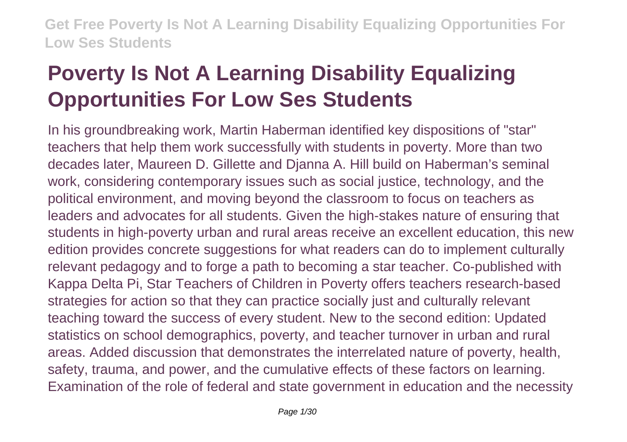# **Poverty Is Not A Learning Disability Equalizing Opportunities For Low Ses Students**

In his groundbreaking work, Martin Haberman identified key dispositions of "star" teachers that help them work successfully with students in poverty. More than two decades later, Maureen D. Gillette and Djanna A. Hill build on Haberman's seminal work, considering contemporary issues such as social justice, technology, and the political environment, and moving beyond the classroom to focus on teachers as leaders and advocates for all students. Given the high-stakes nature of ensuring that students in high-poverty urban and rural areas receive an excellent education, this new edition provides concrete suggestions for what readers can do to implement culturally relevant pedagogy and to forge a path to becoming a star teacher. Co-published with Kappa Delta Pi, Star Teachers of Children in Poverty offers teachers research-based strategies for action so that they can practice socially just and culturally relevant teaching toward the success of every student. New to the second edition: Updated statistics on school demographics, poverty, and teacher turnover in urban and rural areas. Added discussion that demonstrates the interrelated nature of poverty, health, safety, trauma, and power, and the cumulative effects of these factors on learning. Examination of the role of federal and state government in education and the necessity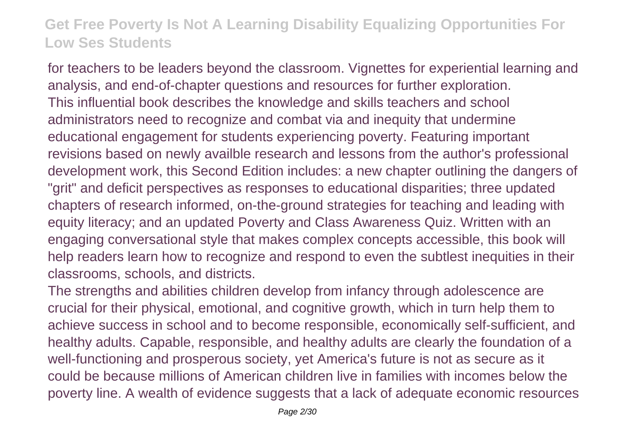for teachers to be leaders beyond the classroom. Vignettes for experiential learning and analysis, and end-of-chapter questions and resources for further exploration. This influential book describes the knowledge and skills teachers and school administrators need to recognize and combat via and inequity that undermine educational engagement for students experiencing poverty. Featuring important revisions based on newly availble research and lessons from the author's professional development work, this Second Edition includes: a new chapter outlining the dangers of "grit" and deficit perspectives as responses to educational disparities; three updated chapters of research informed, on-the-ground strategies for teaching and leading with equity literacy; and an updated Poverty and Class Awareness Quiz. Written with an engaging conversational style that makes complex concepts accessible, this book will help readers learn how to recognize and respond to even the subtlest inequities in their classrooms, schools, and districts.

The strengths and abilities children develop from infancy through adolescence are crucial for their physical, emotional, and cognitive growth, which in turn help them to achieve success in school and to become responsible, economically self-sufficient, and healthy adults. Capable, responsible, and healthy adults are clearly the foundation of a well-functioning and prosperous society, yet America's future is not as secure as it could be because millions of American children live in families with incomes below the poverty line. A wealth of evidence suggests that a lack of adequate economic resources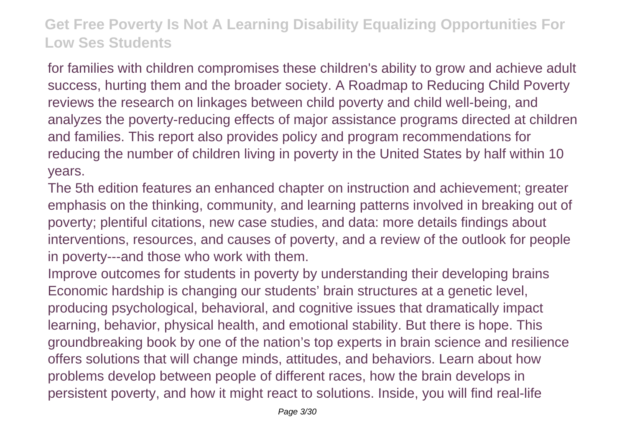for families with children compromises these children's ability to grow and achieve adult success, hurting them and the broader society. A Roadmap to Reducing Child Poverty reviews the research on linkages between child poverty and child well-being, and analyzes the poverty-reducing effects of major assistance programs directed at children and families. This report also provides policy and program recommendations for reducing the number of children living in poverty in the United States by half within 10 years.

The 5th edition features an enhanced chapter on instruction and achievement; greater emphasis on the thinking, community, and learning patterns involved in breaking out of poverty; plentiful citations, new case studies, and data: more details findings about interventions, resources, and causes of poverty, and a review of the outlook for people in poverty---and those who work with them.

Improve outcomes for students in poverty by understanding their developing brains Economic hardship is changing our students' brain structures at a genetic level, producing psychological, behavioral, and cognitive issues that dramatically impact learning, behavior, physical health, and emotional stability. But there is hope. This groundbreaking book by one of the nation's top experts in brain science and resilience offers solutions that will change minds, attitudes, and behaviors. Learn about how problems develop between people of different races, how the brain develops in persistent poverty, and how it might react to solutions. Inside, you will find real-life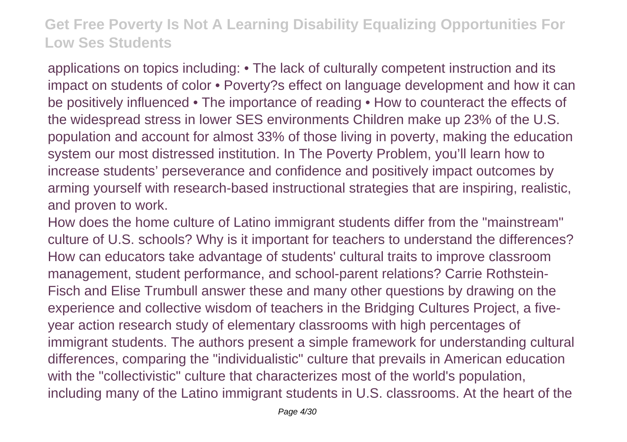applications on topics including: • The lack of culturally competent instruction and its impact on students of color • Poverty?s effect on language development and how it can be positively influenced • The importance of reading • How to counteract the effects of the widespread stress in lower SES environments Children make up 23% of the U.S. population and account for almost 33% of those living in poverty, making the education system our most distressed institution. In The Poverty Problem, you'll learn how to increase students' perseverance and confidence and positively impact outcomes by arming yourself with research-based instructional strategies that are inspiring, realistic, and proven to work.

How does the home culture of Latino immigrant students differ from the "mainstream" culture of U.S. schools? Why is it important for teachers to understand the differences? How can educators take advantage of students' cultural traits to improve classroom management, student performance, and school-parent relations? Carrie Rothstein-Fisch and Elise Trumbull answer these and many other questions by drawing on the experience and collective wisdom of teachers in the Bridging Cultures Project, a fiveyear action research study of elementary classrooms with high percentages of immigrant students. The authors present a simple framework for understanding cultural differences, comparing the "individualistic" culture that prevails in American education with the "collectivistic" culture that characterizes most of the world's population, including many of the Latino immigrant students in U.S. classrooms. At the heart of the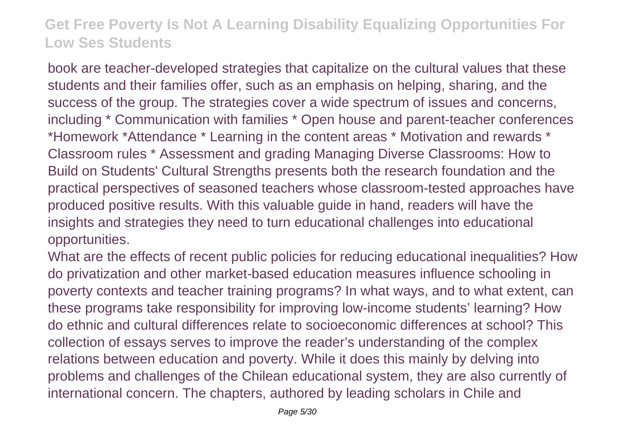book are teacher-developed strategies that capitalize on the cultural values that these students and their families offer, such as an emphasis on helping, sharing, and the success of the group. The strategies cover a wide spectrum of issues and concerns, including \* Communication with families \* Open house and parent-teacher conferences \*Homework \*Attendance \* Learning in the content areas \* Motivation and rewards \* Classroom rules \* Assessment and grading Managing Diverse Classrooms: How to Build on Students' Cultural Strengths presents both the research foundation and the practical perspectives of seasoned teachers whose classroom-tested approaches have produced positive results. With this valuable guide in hand, readers will have the insights and strategies they need to turn educational challenges into educational opportunities.

What are the effects of recent public policies for reducing educational inequalities? How do privatization and other market-based education measures influence schooling in poverty contexts and teacher training programs? In what ways, and to what extent, can these programs take responsibility for improving low-income students' learning? How do ethnic and cultural differences relate to socioeconomic differences at school? This collection of essays serves to improve the reader's understanding of the complex relations between education and poverty. While it does this mainly by delving into problems and challenges of the Chilean educational system, they are also currently of international concern. The chapters, authored by leading scholars in Chile and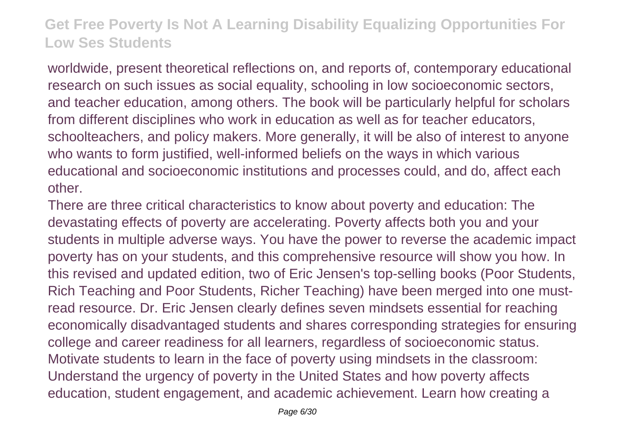worldwide, present theoretical reflections on, and reports of, contemporary educational research on such issues as social equality, schooling in low socioeconomic sectors, and teacher education, among others. The book will be particularly helpful for scholars from different disciplines who work in education as well as for teacher educators, schoolteachers, and policy makers. More generally, it will be also of interest to anyone who wants to form justified, well-informed beliefs on the ways in which various educational and socioeconomic institutions and processes could, and do, affect each other.

There are three critical characteristics to know about poverty and education: The devastating effects of poverty are accelerating. Poverty affects both you and your students in multiple adverse ways. You have the power to reverse the academic impact poverty has on your students, and this comprehensive resource will show you how. In this revised and updated edition, two of Eric Jensen's top-selling books (Poor Students, Rich Teaching and Poor Students, Richer Teaching) have been merged into one mustread resource. Dr. Eric Jensen clearly defines seven mindsets essential for reaching economically disadvantaged students and shares corresponding strategies for ensuring college and career readiness for all learners, regardless of socioeconomic status. Motivate students to learn in the face of poverty using mindsets in the classroom: Understand the urgency of poverty in the United States and how poverty affects education, student engagement, and academic achievement. Learn how creating a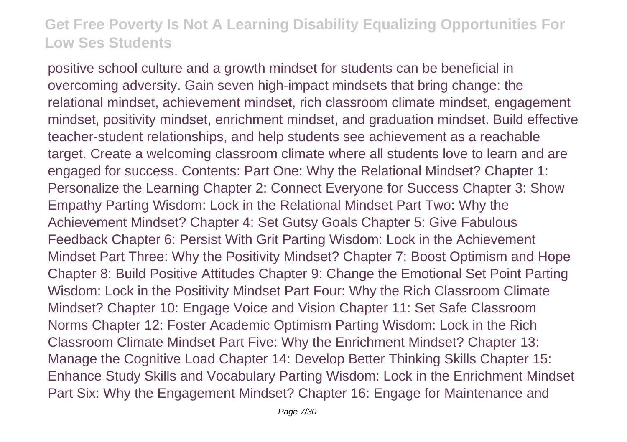positive school culture and a growth mindset for students can be beneficial in overcoming adversity. Gain seven high-impact mindsets that bring change: the relational mindset, achievement mindset, rich classroom climate mindset, engagement mindset, positivity mindset, enrichment mindset, and graduation mindset. Build effective teacher-student relationships, and help students see achievement as a reachable target. Create a welcoming classroom climate where all students love to learn and are engaged for success. Contents: Part One: Why the Relational Mindset? Chapter 1: Personalize the Learning Chapter 2: Connect Everyone for Success Chapter 3: Show Empathy Parting Wisdom: Lock in the Relational Mindset Part Two: Why the Achievement Mindset? Chapter 4: Set Gutsy Goals Chapter 5: Give Fabulous Feedback Chapter 6: Persist With Grit Parting Wisdom: Lock in the Achievement Mindset Part Three: Why the Positivity Mindset? Chapter 7: Boost Optimism and Hope Chapter 8: Build Positive Attitudes Chapter 9: Change the Emotional Set Point Parting Wisdom: Lock in the Positivity Mindset Part Four: Why the Rich Classroom Climate Mindset? Chapter 10: Engage Voice and Vision Chapter 11: Set Safe Classroom Norms Chapter 12: Foster Academic Optimism Parting Wisdom: Lock in the Rich Classroom Climate Mindset Part Five: Why the Enrichment Mindset? Chapter 13: Manage the Cognitive Load Chapter 14: Develop Better Thinking Skills Chapter 15: Enhance Study Skills and Vocabulary Parting Wisdom: Lock in the Enrichment Mindset Part Six: Why the Engagement Mindset? Chapter 16: Engage for Maintenance and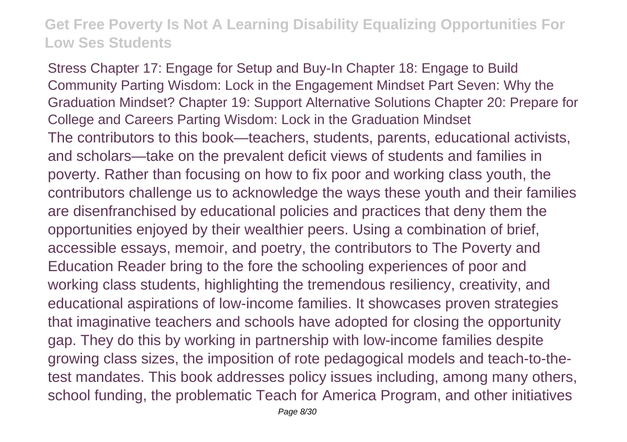Stress Chapter 17: Engage for Setup and Buy-In Chapter 18: Engage to Build Community Parting Wisdom: Lock in the Engagement Mindset Part Seven: Why the Graduation Mindset? Chapter 19: Support Alternative Solutions Chapter 20: Prepare for College and Careers Parting Wisdom: Lock in the Graduation Mindset The contributors to this book—teachers, students, parents, educational activists, and scholars—take on the prevalent deficit views of students and families in poverty. Rather than focusing on how to fix poor and working class youth, the contributors challenge us to acknowledge the ways these youth and their families are disenfranchised by educational policies and practices that deny them the opportunities enjoyed by their wealthier peers. Using a combination of brief, accessible essays, memoir, and poetry, the contributors to The Poverty and Education Reader bring to the fore the schooling experiences of poor and working class students, highlighting the tremendous resiliency, creativity, and educational aspirations of low-income families. It showcases proven strategies that imaginative teachers and schools have adopted for closing the opportunity gap. They do this by working in partnership with low-income families despite growing class sizes, the imposition of rote pedagogical models and teach-to-thetest mandates. This book addresses policy issues including, among many others, school funding, the problematic Teach for America Program, and other initiatives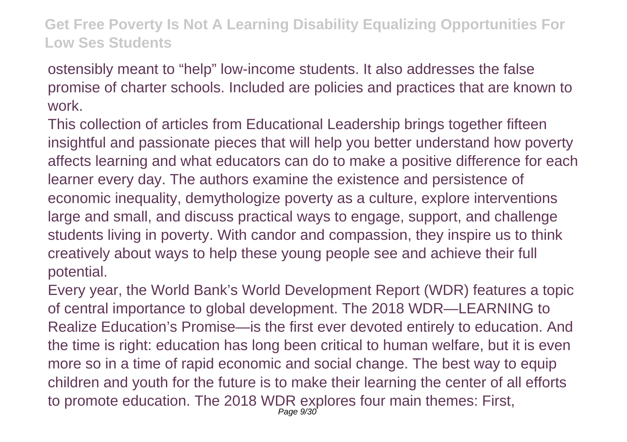ostensibly meant to "help" low-income students. It also addresses the false promise of charter schools. Included are policies and practices that are known to work.

This collection of articles from Educational Leadership brings together fifteen insightful and passionate pieces that will help you better understand how poverty affects learning and what educators can do to make a positive difference for each learner every day. The authors examine the existence and persistence of economic inequality, demythologize poverty as a culture, explore interventions large and small, and discuss practical ways to engage, support, and challenge students living in poverty. With candor and compassion, they inspire us to think creatively about ways to help these young people see and achieve their full potential.

Every year, the World Bank's World Development Report (WDR) features a topic of central importance to global development. The 2018 WDR—LEARNING to Realize Education's Promise—is the first ever devoted entirely to education. And the time is right: education has long been critical to human welfare, but it is even more so in a time of rapid economic and social change. The best way to equip children and youth for the future is to make their learning the center of all efforts to promote education. The 2018 WDR explores four main themes: First, Page 9/30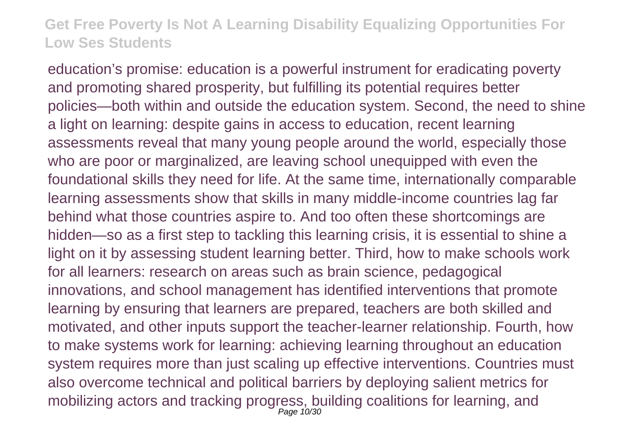education's promise: education is a powerful instrument for eradicating poverty and promoting shared prosperity, but fulfilling its potential requires better policies—both within and outside the education system. Second, the need to shine a light on learning: despite gains in access to education, recent learning assessments reveal that many young people around the world, especially those who are poor or marginalized, are leaving school unequipped with even the foundational skills they need for life. At the same time, internationally comparable learning assessments show that skills in many middle-income countries lag far behind what those countries aspire to. And too often these shortcomings are hidden—so as a first step to tackling this learning crisis, it is essential to shine a light on it by assessing student learning better. Third, how to make schools work for all learners: research on areas such as brain science, pedagogical innovations, and school management has identified interventions that promote learning by ensuring that learners are prepared, teachers are both skilled and motivated, and other inputs support the teacher-learner relationship. Fourth, how to make systems work for learning: achieving learning throughout an education system requires more than just scaling up effective interventions. Countries must also overcome technical and political barriers by deploying salient metrics for mobilizing actors and tracking progress, building coalitions for learning, and Page 10/30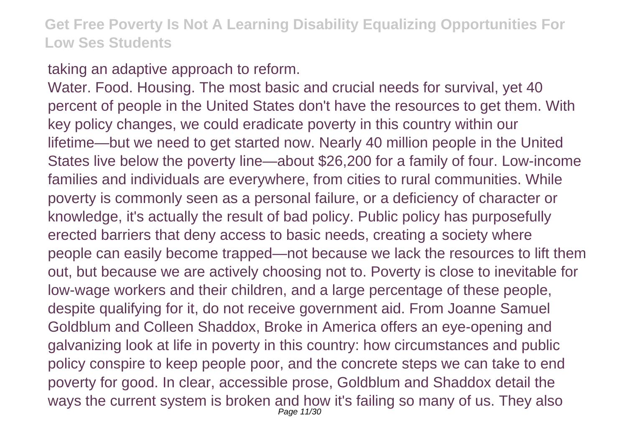taking an adaptive approach to reform.

Water. Food. Housing. The most basic and crucial needs for survival, yet 40 percent of people in the United States don't have the resources to get them. With key policy changes, we could eradicate poverty in this country within our lifetime—but we need to get started now. Nearly 40 million people in the United States live below the poverty line—about \$26,200 for a family of four. Low-income families and individuals are everywhere, from cities to rural communities. While poverty is commonly seen as a personal failure, or a deficiency of character or knowledge, it's actually the result of bad policy. Public policy has purposefully erected barriers that deny access to basic needs, creating a society where people can easily become trapped—not because we lack the resources to lift them out, but because we are actively choosing not to. Poverty is close to inevitable for low-wage workers and their children, and a large percentage of these people, despite qualifying for it, do not receive government aid. From Joanne Samuel Goldblum and Colleen Shaddox, Broke in America offers an eye-opening and galvanizing look at life in poverty in this country: how circumstances and public policy conspire to keep people poor, and the concrete steps we can take to end poverty for good. In clear, accessible prose, Goldblum and Shaddox detail the ways the current system is broken and how it's failing so many of us. They also Page 11/30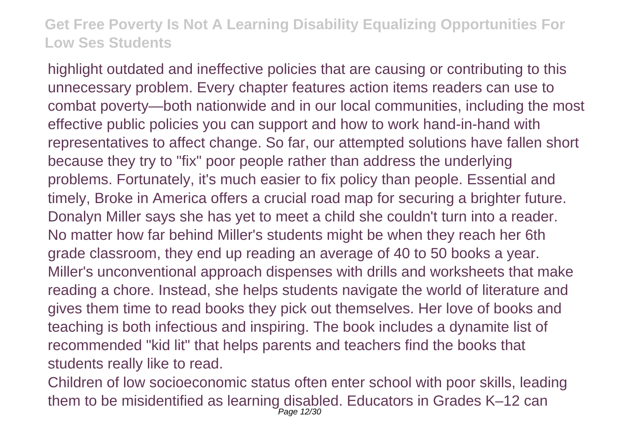highlight outdated and ineffective policies that are causing or contributing to this unnecessary problem. Every chapter features action items readers can use to combat poverty—both nationwide and in our local communities, including the most effective public policies you can support and how to work hand-in-hand with representatives to affect change. So far, our attempted solutions have fallen short because they try to "fix" poor people rather than address the underlying problems. Fortunately, it's much easier to fix policy than people. Essential and timely, Broke in America offers a crucial road map for securing a brighter future. Donalyn Miller says she has yet to meet a child she couldn't turn into a reader. No matter how far behind Miller's students might be when they reach her 6th grade classroom, they end up reading an average of 40 to 50 books a year. Miller's unconventional approach dispenses with drills and worksheets that make reading a chore. Instead, she helps students navigate the world of literature and gives them time to read books they pick out themselves. Her love of books and teaching is both infectious and inspiring. The book includes a dynamite list of recommended "kid lit" that helps parents and teachers find the books that students really like to read.

Children of low socioeconomic status often enter school with poor skills, leading them to be misidentified as learning disabled. Educators in Grades K–12 can Page 12/30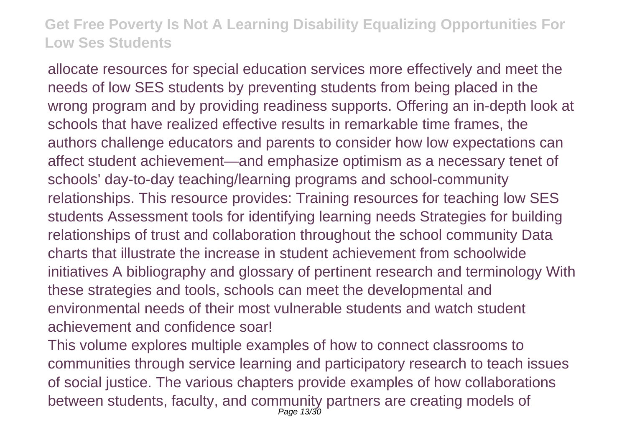allocate resources for special education services more effectively and meet the needs of low SES students by preventing students from being placed in the wrong program and by providing readiness supports. Offering an in-depth look at schools that have realized effective results in remarkable time frames, the authors challenge educators and parents to consider how low expectations can affect student achievement—and emphasize optimism as a necessary tenet of schools' day-to-day teaching/learning programs and school-community relationships. This resource provides: Training resources for teaching low SES students Assessment tools for identifying learning needs Strategies for building relationships of trust and collaboration throughout the school community Data charts that illustrate the increase in student achievement from schoolwide initiatives A bibliography and glossary of pertinent research and terminology With these strategies and tools, schools can meet the developmental and environmental needs of their most vulnerable students and watch student achievement and confidence soar!

This volume explores multiple examples of how to connect classrooms to communities through service learning and participatory research to teach issues of social justice. The various chapters provide examples of how collaborations between students, faculty, and community partners are creating models of Page 13/30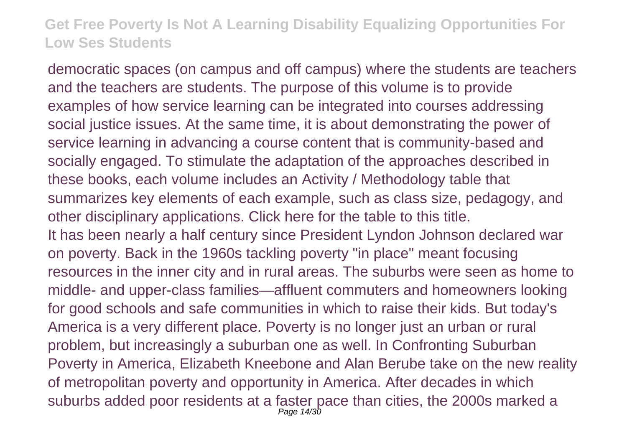democratic spaces (on campus and off campus) where the students are teachers and the teachers are students. The purpose of this volume is to provide examples of how service learning can be integrated into courses addressing social justice issues. At the same time, it is about demonstrating the power of service learning in advancing a course content that is community-based and socially engaged. To stimulate the adaptation of the approaches described in these books, each volume includes an Activity / Methodology table that summarizes key elements of each example, such as class size, pedagogy, and other disciplinary applications. Click here for the table to this title. It has been nearly a half century since President Lyndon Johnson declared war on poverty. Back in the 1960s tackling poverty "in place" meant focusing resources in the inner city and in rural areas. The suburbs were seen as home to middle- and upper-class families—affluent commuters and homeowners looking for good schools and safe communities in which to raise their kids. But today's America is a very different place. Poverty is no longer just an urban or rural problem, but increasingly a suburban one as well. In Confronting Suburban Poverty in America, Elizabeth Kneebone and Alan Berube take on the new reality of metropolitan poverty and opportunity in America. After decades in which suburbs added poor residents at a faster pace than cities, the 2000s marked a Page 14/30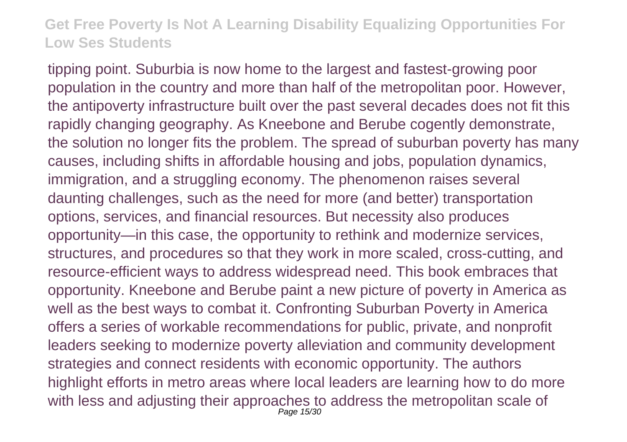tipping point. Suburbia is now home to the largest and fastest-growing poor population in the country and more than half of the metropolitan poor. However, the antipoverty infrastructure built over the past several decades does not fit this rapidly changing geography. As Kneebone and Berube cogently demonstrate, the solution no longer fits the problem. The spread of suburban poverty has many causes, including shifts in affordable housing and jobs, population dynamics, immigration, and a struggling economy. The phenomenon raises several daunting challenges, such as the need for more (and better) transportation options, services, and financial resources. But necessity also produces opportunity—in this case, the opportunity to rethink and modernize services, structures, and procedures so that they work in more scaled, cross-cutting, and resource-efficient ways to address widespread need. This book embraces that opportunity. Kneebone and Berube paint a new picture of poverty in America as well as the best ways to combat it. Confronting Suburban Poverty in America offers a series of workable recommendations for public, private, and nonprofit leaders seeking to modernize poverty alleviation and community development strategies and connect residents with economic opportunity. The authors highlight efforts in metro areas where local leaders are learning how to do more with less and adjusting their approaches to address the metropolitan scale of Page 15/30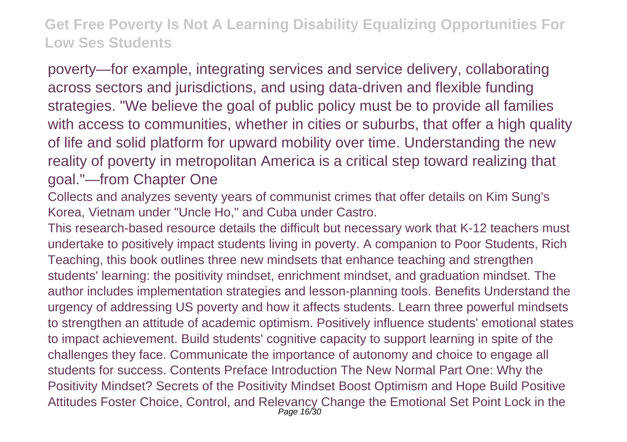poverty—for example, integrating services and service delivery, collaborating across sectors and jurisdictions, and using data-driven and flexible funding strategies. "We believe the goal of public policy must be to provide all families with access to communities, whether in cities or suburbs, that offer a high quality of life and solid platform for upward mobility over time. Understanding the new reality of poverty in metropolitan America is a critical step toward realizing that goal."—from Chapter One

Collects and analyzes seventy years of communist crimes that offer details on Kim Sung's Korea, Vietnam under "Uncle Ho," and Cuba under Castro.

This research-based resource details the difficult but necessary work that K-12 teachers must undertake to positively impact students living in poverty. A companion to Poor Students, Rich Teaching, this book outlines three new mindsets that enhance teaching and strengthen students' learning: the positivity mindset, enrichment mindset, and graduation mindset. The author includes implementation strategies and lesson-planning tools. Benefits Understand the urgency of addressing US poverty and how it affects students. Learn three powerful mindsets to strengthen an attitude of academic optimism. Positively influence students' emotional states to impact achievement. Build students' cognitive capacity to support learning in spite of the challenges they face. Communicate the importance of autonomy and choice to engage all students for success. Contents Preface Introduction The New Normal Part One: Why the Positivity Mindset? Secrets of the Positivity Mindset Boost Optimism and Hope Build Positive Attitudes Foster Choice, Control, and Relevancy Change the Emotional Set Point Lock in the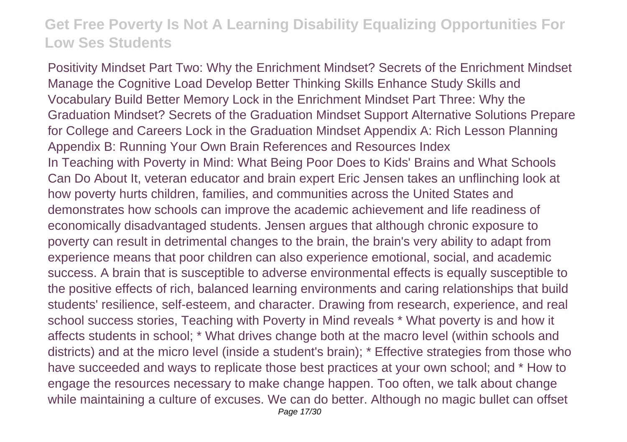Positivity Mindset Part Two: Why the Enrichment Mindset? Secrets of the Enrichment Mindset Manage the Cognitive Load Develop Better Thinking Skills Enhance Study Skills and Vocabulary Build Better Memory Lock in the Enrichment Mindset Part Three: Why the Graduation Mindset? Secrets of the Graduation Mindset Support Alternative Solutions Prepare for College and Careers Lock in the Graduation Mindset Appendix A: Rich Lesson Planning Appendix B: Running Your Own Brain References and Resources Index In Teaching with Poverty in Mind: What Being Poor Does to Kids' Brains and What Schools Can Do About It, veteran educator and brain expert Eric Jensen takes an unflinching look at how poverty hurts children, families, and communities across the United States and demonstrates how schools can improve the academic achievement and life readiness of economically disadvantaged students. Jensen argues that although chronic exposure to poverty can result in detrimental changes to the brain, the brain's very ability to adapt from experience means that poor children can also experience emotional, social, and academic success. A brain that is susceptible to adverse environmental effects is equally susceptible to the positive effects of rich, balanced learning environments and caring relationships that build students' resilience, self-esteem, and character. Drawing from research, experience, and real school success stories, Teaching with Poverty in Mind reveals \* What poverty is and how it affects students in school; \* What drives change both at the macro level (within schools and districts) and at the micro level (inside a student's brain); \* Effective strategies from those who have succeeded and ways to replicate those best practices at your own school; and \* How to engage the resources necessary to make change happen. Too often, we talk about change while maintaining a culture of excuses. We can do better. Although no magic bullet can offset Page 17/30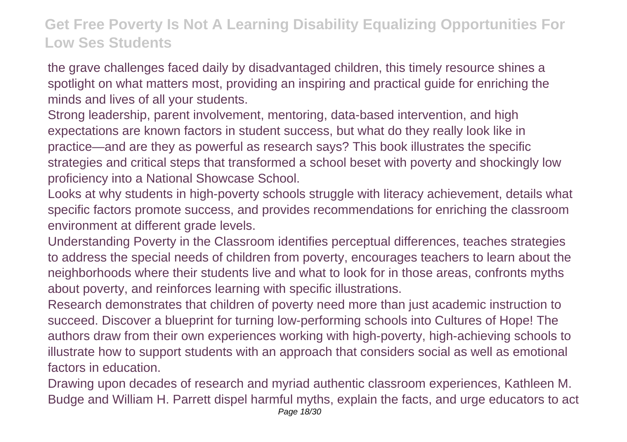the grave challenges faced daily by disadvantaged children, this timely resource shines a spotlight on what matters most, providing an inspiring and practical guide for enriching the minds and lives of all your students.

Strong leadership, parent involvement, mentoring, data-based intervention, and high expectations are known factors in student success, but what do they really look like in practice—and are they as powerful as research says? This book illustrates the specific strategies and critical steps that transformed a school beset with poverty and shockingly low proficiency into a National Showcase School.

Looks at why students in high-poverty schools struggle with literacy achievement, details what specific factors promote success, and provides recommendations for enriching the classroom environment at different grade levels.

Understanding Poverty in the Classroom identifies perceptual differences, teaches strategies to address the special needs of children from poverty, encourages teachers to learn about the neighborhoods where their students live and what to look for in those areas, confronts myths about poverty, and reinforces learning with specific illustrations.

Research demonstrates that children of poverty need more than just academic instruction to succeed. Discover a blueprint for turning low-performing schools into Cultures of Hope! The authors draw from their own experiences working with high-poverty, high-achieving schools to illustrate how to support students with an approach that considers social as well as emotional factors in education.

Drawing upon decades of research and myriad authentic classroom experiences, Kathleen M. Budge and William H. Parrett dispel harmful myths, explain the facts, and urge educators to act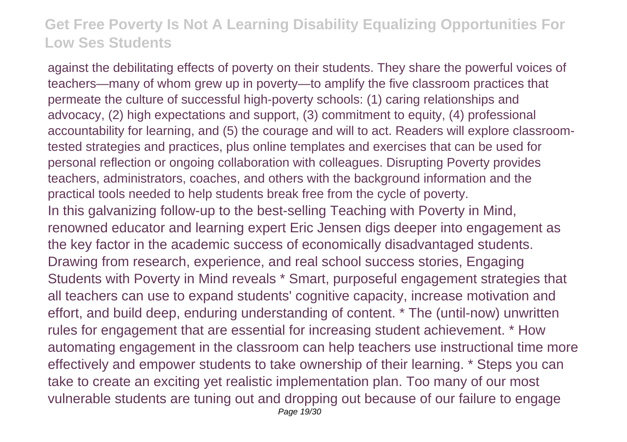against the debilitating effects of poverty on their students. They share the powerful voices of teachers—many of whom grew up in poverty—to amplify the five classroom practices that permeate the culture of successful high-poverty schools: (1) caring relationships and advocacy, (2) high expectations and support, (3) commitment to equity, (4) professional accountability for learning, and (5) the courage and will to act. Readers will explore classroomtested strategies and practices, plus online templates and exercises that can be used for personal reflection or ongoing collaboration with colleagues. Disrupting Poverty provides teachers, administrators, coaches, and others with the background information and the practical tools needed to help students break free from the cycle of poverty. In this galvanizing follow-up to the best-selling Teaching with Poverty in Mind, renowned educator and learning expert Eric Jensen digs deeper into engagement as the key factor in the academic success of economically disadvantaged students. Drawing from research, experience, and real school success stories, Engaging Students with Poverty in Mind reveals \* Smart, purposeful engagement strategies that all teachers can use to expand students' cognitive capacity, increase motivation and effort, and build deep, enduring understanding of content. \* The (until-now) unwritten rules for engagement that are essential for increasing student achievement. \* How automating engagement in the classroom can help teachers use instructional time more effectively and empower students to take ownership of their learning. \* Steps you can take to create an exciting yet realistic implementation plan. Too many of our most vulnerable students are tuning out and dropping out because of our failure to engage Page 19/30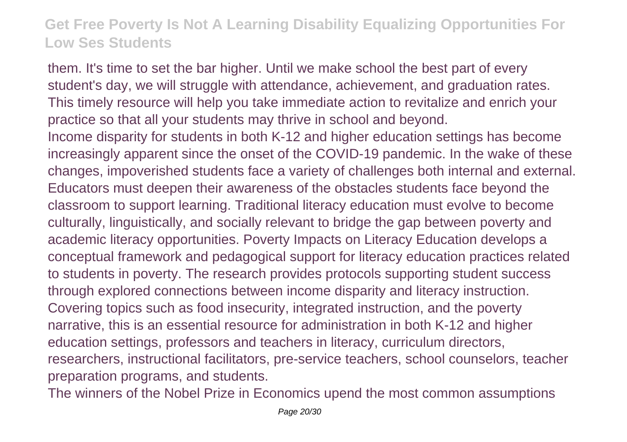them. It's time to set the bar higher. Until we make school the best part of every student's day, we will struggle with attendance, achievement, and graduation rates. This timely resource will help you take immediate action to revitalize and enrich your practice so that all your students may thrive in school and beyond. Income disparity for students in both K-12 and higher education settings has become increasingly apparent since the onset of the COVID-19 pandemic. In the wake of these changes, impoverished students face a variety of challenges both internal and external. Educators must deepen their awareness of the obstacles students face beyond the classroom to support learning. Traditional literacy education must evolve to become culturally, linguistically, and socially relevant to bridge the gap between poverty and academic literacy opportunities. Poverty Impacts on Literacy Education develops a conceptual framework and pedagogical support for literacy education practices related to students in poverty. The research provides protocols supporting student success through explored connections between income disparity and literacy instruction. Covering topics such as food insecurity, integrated instruction, and the poverty narrative, this is an essential resource for administration in both K-12 and higher education settings, professors and teachers in literacy, curriculum directors, researchers, instructional facilitators, pre-service teachers, school counselors, teacher preparation programs, and students.

The winners of the Nobel Prize in Economics upend the most common assumptions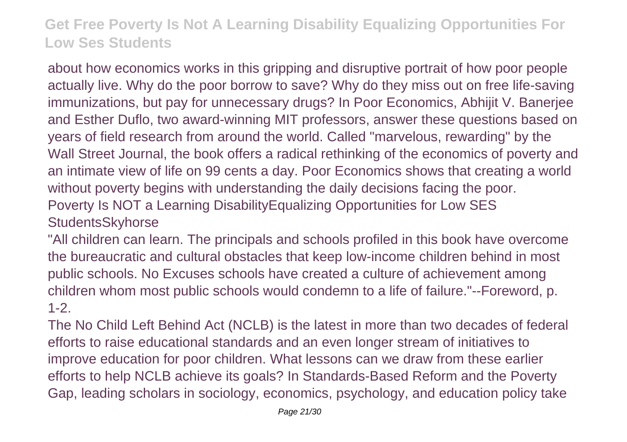about how economics works in this gripping and disruptive portrait of how poor people actually live. Why do the poor borrow to save? Why do they miss out on free life-saving immunizations, but pay for unnecessary drugs? In Poor Economics, Abhijit V. Banerjee and Esther Duflo, two award-winning MIT professors, answer these questions based on years of field research from around the world. Called "marvelous, rewarding" by the Wall Street Journal, the book offers a radical rethinking of the economics of poverty and an intimate view of life on 99 cents a day. Poor Economics shows that creating a world without poverty begins with understanding the daily decisions facing the poor. Poverty Is NOT a Learning DisabilityEqualizing Opportunities for Low SES StudentsSkyhorse

"All children can learn. The principals and schools profiled in this book have overcome the bureaucratic and cultural obstacles that keep low-income children behind in most public schools. No Excuses schools have created a culture of achievement among children whom most public schools would condemn to a life of failure."--Foreword, p. 1-2.

The No Child Left Behind Act (NCLB) is the latest in more than two decades of federal efforts to raise educational standards and an even longer stream of initiatives to improve education for poor children. What lessons can we draw from these earlier efforts to help NCLB achieve its goals? In Standards-Based Reform and the Poverty Gap, leading scholars in sociology, economics, psychology, and education policy take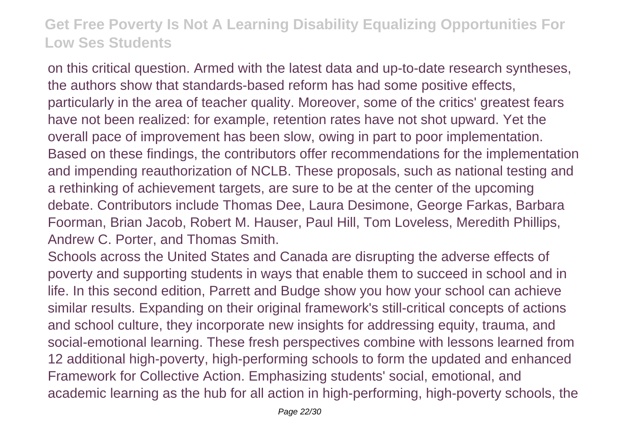on this critical question. Armed with the latest data and up-to-date research syntheses, the authors show that standards-based reform has had some positive effects, particularly in the area of teacher quality. Moreover, some of the critics' greatest fears have not been realized: for example, retention rates have not shot upward. Yet the overall pace of improvement has been slow, owing in part to poor implementation. Based on these findings, the contributors offer recommendations for the implementation and impending reauthorization of NCLB. These proposals, such as national testing and a rethinking of achievement targets, are sure to be at the center of the upcoming debate. Contributors include Thomas Dee, Laura Desimone, George Farkas, Barbara Foorman, Brian Jacob, Robert M. Hauser, Paul Hill, Tom Loveless, Meredith Phillips, Andrew C. Porter, and Thomas Smith.

Schools across the United States and Canada are disrupting the adverse effects of poverty and supporting students in ways that enable them to succeed in school and in life. In this second edition, Parrett and Budge show you how your school can achieve similar results. Expanding on their original framework's still-critical concepts of actions and school culture, they incorporate new insights for addressing equity, trauma, and social-emotional learning. These fresh perspectives combine with lessons learned from 12 additional high-poverty, high-performing schools to form the updated and enhanced Framework for Collective Action. Emphasizing students' social, emotional, and academic learning as the hub for all action in high-performing, high-poverty schools, the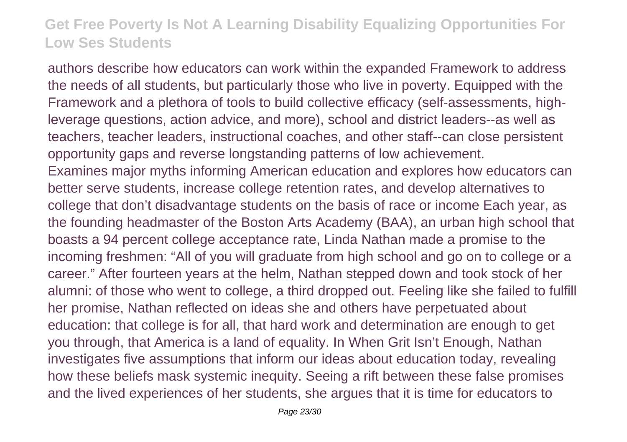authors describe how educators can work within the expanded Framework to address the needs of all students, but particularly those who live in poverty. Equipped with the Framework and a plethora of tools to build collective efficacy (self-assessments, highleverage questions, action advice, and more), school and district leaders--as well as teachers, teacher leaders, instructional coaches, and other staff--can close persistent opportunity gaps and reverse longstanding patterns of low achievement. Examines major myths informing American education and explores how educators can better serve students, increase college retention rates, and develop alternatives to college that don't disadvantage students on the basis of race or income Each year, as the founding headmaster of the Boston Arts Academy (BAA), an urban high school that boasts a 94 percent college acceptance rate, Linda Nathan made a promise to the incoming freshmen: "All of you will graduate from high school and go on to college or a career." After fourteen years at the helm, Nathan stepped down and took stock of her alumni: of those who went to college, a third dropped out. Feeling like she failed to fulfill her promise, Nathan reflected on ideas she and others have perpetuated about education: that college is for all, that hard work and determination are enough to get you through, that America is a land of equality. In When Grit Isn't Enough, Nathan investigates five assumptions that inform our ideas about education today, revealing how these beliefs mask systemic inequity. Seeing a rift between these false promises and the lived experiences of her students, she argues that it is time for educators to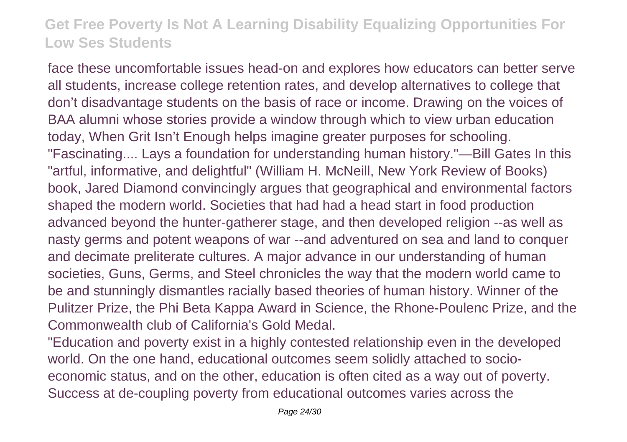face these uncomfortable issues head-on and explores how educators can better serve all students, increase college retention rates, and develop alternatives to college that don't disadvantage students on the basis of race or income. Drawing on the voices of BAA alumni whose stories provide a window through which to view urban education today, When Grit Isn't Enough helps imagine greater purposes for schooling. "Fascinating.... Lays a foundation for understanding human history."—Bill Gates In this "artful, informative, and delightful" (William H. McNeill, New York Review of Books) book, Jared Diamond convincingly argues that geographical and environmental factors shaped the modern world. Societies that had had a head start in food production advanced beyond the hunter-gatherer stage, and then developed religion --as well as nasty germs and potent weapons of war --and adventured on sea and land to conquer and decimate preliterate cultures. A major advance in our understanding of human societies, Guns, Germs, and Steel chronicles the way that the modern world came to be and stunningly dismantles racially based theories of human history. Winner of the Pulitzer Prize, the Phi Beta Kappa Award in Science, the Rhone-Poulenc Prize, and the Commonwealth club of California's Gold Medal.

"Education and poverty exist in a highly contested relationship even in the developed world. On the one hand, educational outcomes seem solidly attached to socioeconomic status, and on the other, education is often cited as a way out of poverty. Success at de-coupling poverty from educational outcomes varies across the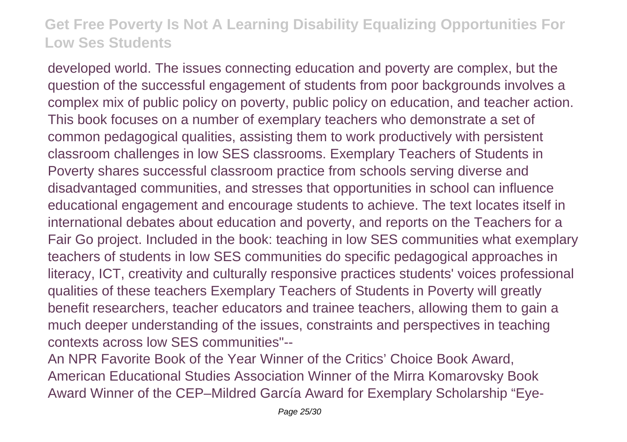developed world. The issues connecting education and poverty are complex, but the question of the successful engagement of students from poor backgrounds involves a complex mix of public policy on poverty, public policy on education, and teacher action. This book focuses on a number of exemplary teachers who demonstrate a set of common pedagogical qualities, assisting them to work productively with persistent classroom challenges in low SES classrooms. Exemplary Teachers of Students in Poverty shares successful classroom practice from schools serving diverse and disadvantaged communities, and stresses that opportunities in school can influence educational engagement and encourage students to achieve. The text locates itself in international debates about education and poverty, and reports on the Teachers for a Fair Go project. Included in the book: teaching in low SES communities what exemplary teachers of students in low SES communities do specific pedagogical approaches in literacy, ICT, creativity and culturally responsive practices students' voices professional qualities of these teachers Exemplary Teachers of Students in Poverty will greatly benefit researchers, teacher educators and trainee teachers, allowing them to gain a much deeper understanding of the issues, constraints and perspectives in teaching contexts across low SES communities"--

An NPR Favorite Book of the Year Winner of the Critics' Choice Book Award, American Educational Studies Association Winner of the Mirra Komarovsky Book Award Winner of the CEP–Mildred García Award for Exemplary Scholarship "Eye-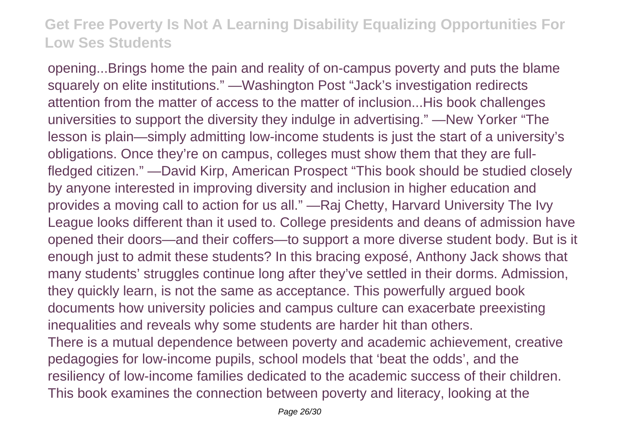opening...Brings home the pain and reality of on-campus poverty and puts the blame squarely on elite institutions." —Washington Post "Jack's investigation redirects attention from the matter of access to the matter of inclusion...His book challenges universities to support the diversity they indulge in advertising." —New Yorker "The lesson is plain—simply admitting low-income students is just the start of a university's obligations. Once they're on campus, colleges must show them that they are fullfledged citizen." —David Kirp, American Prospect "This book should be studied closely by anyone interested in improving diversity and inclusion in higher education and provides a moving call to action for us all." —Raj Chetty, Harvard University The Ivy League looks different than it used to. College presidents and deans of admission have opened their doors—and their coffers—to support a more diverse student body. But is it enough just to admit these students? In this bracing exposé, Anthony Jack shows that many students' struggles continue long after they've settled in their dorms. Admission, they quickly learn, is not the same as acceptance. This powerfully argued book documents how university policies and campus culture can exacerbate preexisting inequalities and reveals why some students are harder hit than others. There is a mutual dependence between poverty and academic achievement, creative pedagogies for low-income pupils, school models that 'beat the odds', and the resiliency of low-income families dedicated to the academic success of their children. This book examines the connection between poverty and literacy, looking at the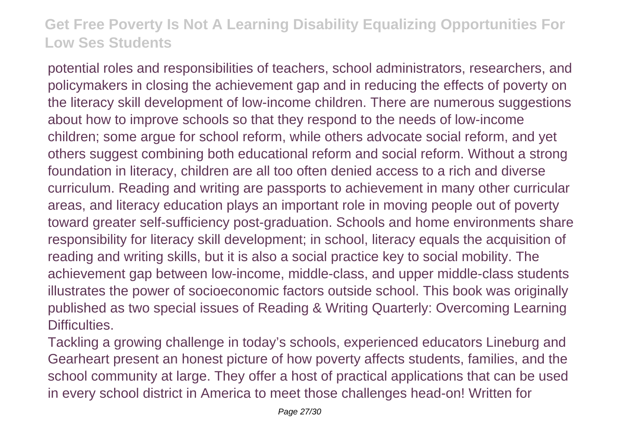potential roles and responsibilities of teachers, school administrators, researchers, and policymakers in closing the achievement gap and in reducing the effects of poverty on the literacy skill development of low-income children. There are numerous suggestions about how to improve schools so that they respond to the needs of low-income children; some argue for school reform, while others advocate social reform, and yet others suggest combining both educational reform and social reform. Without a strong foundation in literacy, children are all too often denied access to a rich and diverse curriculum. Reading and writing are passports to achievement in many other curricular areas, and literacy education plays an important role in moving people out of poverty toward greater self-sufficiency post-graduation. Schools and home environments share responsibility for literacy skill development; in school, literacy equals the acquisition of reading and writing skills, but it is also a social practice key to social mobility. The achievement gap between low-income, middle-class, and upper middle-class students illustrates the power of socioeconomic factors outside school. This book was originally published as two special issues of Reading & Writing Quarterly: Overcoming Learning Difficulties.

Tackling a growing challenge in today's schools, experienced educators Lineburg and Gearheart present an honest picture of how poverty affects students, families, and the school community at large. They offer a host of practical applications that can be used in every school district in America to meet those challenges head-on! Written for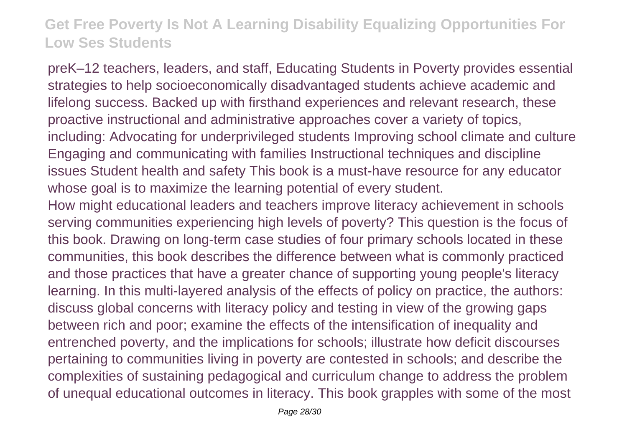preK–12 teachers, leaders, and staff, Educating Students in Poverty provides essential strategies to help socioeconomically disadvantaged students achieve academic and lifelong success. Backed up with firsthand experiences and relevant research, these proactive instructional and administrative approaches cover a variety of topics, including: Advocating for underprivileged students Improving school climate and culture Engaging and communicating with families Instructional techniques and discipline issues Student health and safety This book is a must-have resource for any educator whose goal is to maximize the learning potential of every student.

How might educational leaders and teachers improve literacy achievement in schools serving communities experiencing high levels of poverty? This question is the focus of this book. Drawing on long-term case studies of four primary schools located in these communities, this book describes the difference between what is commonly practiced and those practices that have a greater chance of supporting young people's literacy learning. In this multi-layered analysis of the effects of policy on practice, the authors: discuss global concerns with literacy policy and testing in view of the growing gaps between rich and poor; examine the effects of the intensification of inequality and entrenched poverty, and the implications for schools; illustrate how deficit discourses pertaining to communities living in poverty are contested in schools; and describe the complexities of sustaining pedagogical and curriculum change to address the problem of unequal educational outcomes in literacy. This book grapples with some of the most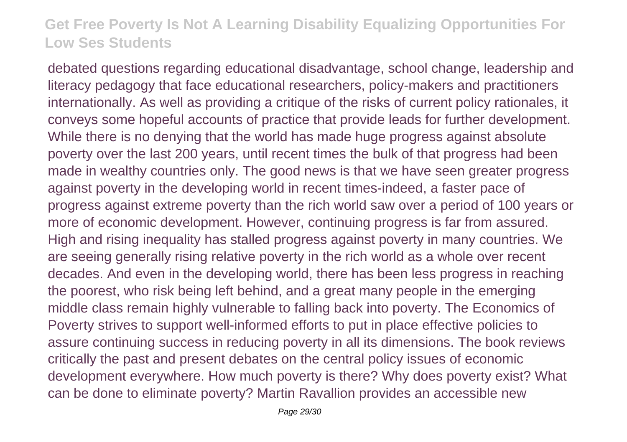debated questions regarding educational disadvantage, school change, leadership and literacy pedagogy that face educational researchers, policy-makers and practitioners internationally. As well as providing a critique of the risks of current policy rationales, it conveys some hopeful accounts of practice that provide leads for further development. While there is no denying that the world has made huge progress against absolute poverty over the last 200 years, until recent times the bulk of that progress had been made in wealthy countries only. The good news is that we have seen greater progress against poverty in the developing world in recent times-indeed, a faster pace of progress against extreme poverty than the rich world saw over a period of 100 years or more of economic development. However, continuing progress is far from assured. High and rising inequality has stalled progress against poverty in many countries. We are seeing generally rising relative poverty in the rich world as a whole over recent decades. And even in the developing world, there has been less progress in reaching the poorest, who risk being left behind, and a great many people in the emerging middle class remain highly vulnerable to falling back into poverty. The Economics of Poverty strives to support well-informed efforts to put in place effective policies to assure continuing success in reducing poverty in all its dimensions. The book reviews critically the past and present debates on the central policy issues of economic development everywhere. How much poverty is there? Why does poverty exist? What can be done to eliminate poverty? Martin Ravallion provides an accessible new